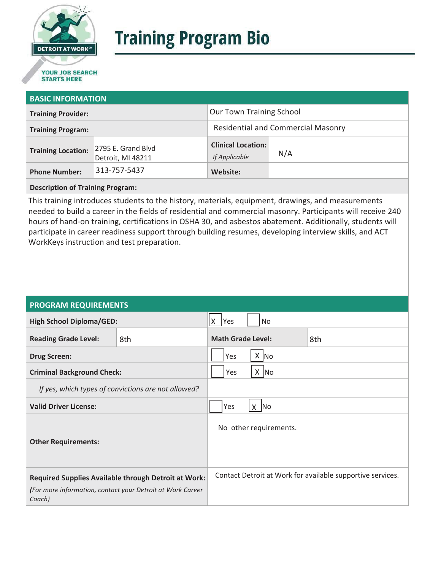

# **Training Program Bio**

## **STARTS HERE**

#### **BASIC INFORMATION**

| <b>Training Provider:</b> |                                         | <b>Our Town Training School</b>            |     |  |
|---------------------------|-----------------------------------------|--------------------------------------------|-----|--|
| <b>Training Program:</b>  |                                         | <b>Residential and Commercial Masonry</b>  |     |  |
| <b>Training Location:</b> | 2795 E. Grand Blvd<br>Detroit, MI 48211 | <b>Clinical Location:</b><br>If Applicable | N/A |  |
| <b>Phone Number:</b>      | 313-757-5437                            | Website:                                   |     |  |

#### **Description of Training Program:**

This training introduces students to the history, materials, equipment, drawings, and measurements needed to build a career in the fields of residential and commercial masonry. Participants will receive 240 hours of hand-on training, certifications in OSHA 30, and asbestos abatement. Additionally, students will participate in career readiness support through building resumes, developing interview skills, and ACT WorkKeys instruction and test preparation.

#### **PROGRAM REQUIREMENTS**

| <b>High School Diploma/GED:</b>                                                                                                     |     | $X$ Yes                         | No     |                                                            |
|-------------------------------------------------------------------------------------------------------------------------------------|-----|---------------------------------|--------|------------------------------------------------------------|
| <b>Reading Grade Level:</b>                                                                                                         | 8th | <b>Math Grade Level:</b><br>8th |        |                                                            |
| <b>Drug Screen:</b>                                                                                                                 |     | $X \big $ No<br>Yes             |        |                                                            |
| <b>Criminal Background Check:</b>                                                                                                   |     | $X$ No<br>Yes                   |        |                                                            |
| If yes, which types of convictions are not allowed?                                                                                 |     |                                 |        |                                                            |
| <b>Valid Driver License:</b>                                                                                                        |     | Yes                             | $X$ No |                                                            |
| <b>Other Requirements:</b>                                                                                                          |     | No other requirements.          |        |                                                            |
| <b>Required Supplies Available through Detroit at Work:</b><br>(For more information, contact your Detroit at Work Career<br>Coach) |     |                                 |        | Contact Detroit at Work for available supportive services. |